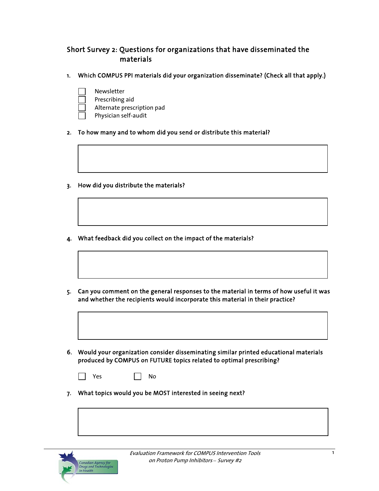## Short Survey 2: Questions for organizations that have disseminated the materials

- 1. Which COMPUS PPI materials did your organization disseminate? (Check all that apply.)
	- Newsletter
		- Prescribing aid
	- Alternate prescription pad
	- Physician self-audit
- 2. To how many and to whom did you send or distribute this material?
- 3. How did you distribute the materials?
- 4. What feedback did you collect on the impact of the materials?
- 5. Can you comment on the general responses to the material in terms of how useful it was and whether the recipients would incorporate this material in their practice?
- 6. Would your organization consider disseminating similar printed educational materials produced by COMPUS on FUTURE topics related to optimal prescribing?
	- $\Box$  Yes  $\Box$  No
- 7. What topics would you be MOST interested in seeing next?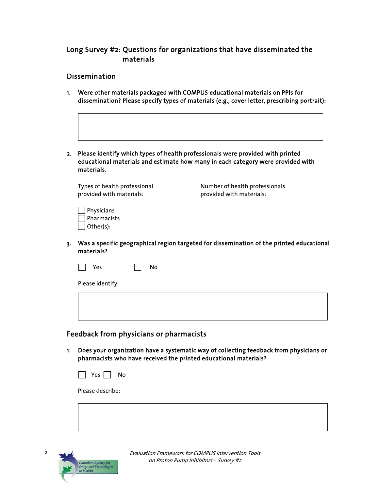## Long Survey #2: Questions for organizations that have disseminated the materials

## Dissemination

- 1. Were other materials packaged with COMPUS educational materials on PPIs for dissemination? Please specify types of materials (e.g., cover letter, prescribing portrait):
- 2. Please identify which types of health professionals were provided with printed educational materials and estimate how many in each category were provided with materials.

provided with materials: provided with materials:

Types of health professional Number of health professionals

| Physicians  |
|-------------|
| Pharmacists |
| Other(s):   |

3. Was a specific geographical region targeted for dissemination of the printed educational materials?

| ~~     | Ν٥ |
|--------|----|
| $\sim$ |    |
| $\sim$ |    |

Please identify:

## Feedback from physicians or pharmacists

1. Does your organization have a systematic way of collecting feedback from physicians or pharmacists who have received the printed educational materials?



Please describe:



 $\overline{2}$